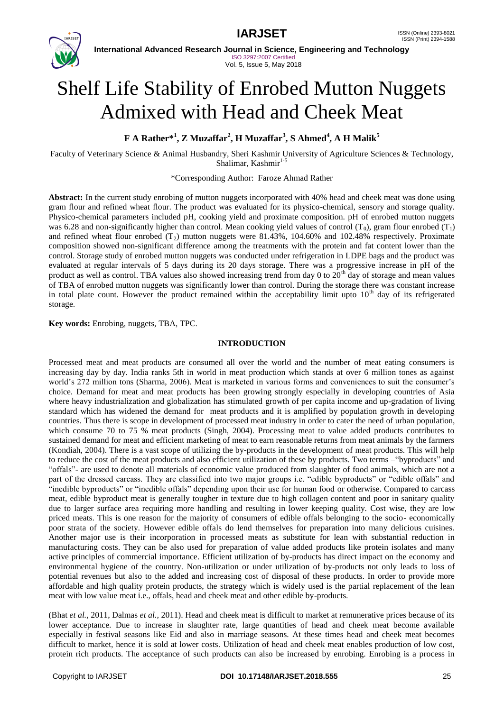

**International Advanced Research Journal in Science, Engineering and Technology** ISO 3297:2007 Certified Vol. 5, Issue 5, May 2018

# Shelf Life Stability of Enrobed Mutton Nuggets Admixed with Head and Cheek Meat

**F A Rather\*<sup>1</sup> , Z Muzaffar<sup>2</sup> , H Muzaffar<sup>3</sup> , S Ahmed<sup>4</sup> , A H Malik<sup>5</sup>**

Faculty of Veterinary Science & Animal Husbandry, Sheri Kashmir University of Agriculture Sciences & Technology, Shalimar, Kashmir $1-5$ 

\*Corresponding Author: Faroze Ahmad Rather

**Abstract:** In the current study enrobing of mutton nuggets incorporated with 40% head and cheek meat was done using gram flour and refined wheat flour. The product was evaluated for its physico-chemical, sensory and storage quality. Physico-chemical parameters included pH, cooking yield and proximate composition. pH of enrobed mutton nuggets was 6.28 and non-significantly higher than control. Mean cooking yield values of control  $(T_0)$ , gram flour enrobed  $(T_1)$ and refined wheat flour enrobed  $(T_2)$  mutton nuggets were 81.43%, 104.60% and 102.48% respectively. Proximate composition showed non-significant difference among the treatments with the protein and fat content lower than the control. Storage study of enrobed mutton nuggets was conducted under refrigeration in LDPE bags and the product was evaluated at regular intervals of 5 days during its 20 days storage. There was a progressive increase in pH of the product as well as control. TBA values also showed increasing trend from day 0 to  $20<sup>th</sup>$  day of storage and mean values of TBA of enrobed mutton nuggets was significantly lower than control. During the storage there was constant increase in total plate count. However the product remained within the acceptability limit upto  $10<sup>th</sup>$  day of its refrigerated storage.

**Key words:** Enrobing, nuggets, TBA, TPC.

#### **INTRODUCTION**

Processed meat and meat products are consumed all over the world and the number of meat eating consumers is increasing day by day. India ranks 5th in world in meat production which stands at over 6 million tones as against world's 272 million tons (Sharma, 2006). Meat is marketed in various forms and conveniences to suit the consumer's choice. Demand for meat and meat products has been growing strongly especially in developing countries of Asia where heavy industrialization and globalization has stimulated growth of per capita income and up-gradation of living standard which has widened the demand for meat products and it is amplified by population growth in developing countries. Thus there is scope in development of processed meat industry in order to cater the need of urban population, which consume 70 to 75 % meat products (Singh, 2004). Processing meat to value added products contributes to sustained demand for meat and efficient marketing of meat to earn reasonable returns from meat animals by the farmers (Kondiah, 2004). There is a vast scope of utilizing the by-products in the development of meat products. This will help to reduce the cost of the meat products and also efficient utilization of these by products. Two terms –"byproducts" and "offals"- are used to denote all materials of economic value produced from slaughter of food animals, which are not a part of the dressed carcass. They are classified into two major groups i.e. "edible byproducts" or "edible offals" and "inedible byproducts" or "inedible offals" depending upon their use for human food or otherwise. Compared to carcass meat, edible byproduct meat is generally tougher in texture due to high collagen content and poor in sanitary quality due to larger surface area requiring more handling and resulting in lower keeping quality. Cost wise, they are low priced meats. This is one reason for the majority of consumers of edible offals belonging to the socio- economically poor strata of the society. However edible offals do lend themselves for preparation into many delicious cuisines. Another major use is their incorporation in processed meats as substitute for lean with substantial reduction in manufacturing costs. They can be also used for preparation of value added products like protein isolates and many active principles of commercial importance. Efficient utilization of by-products has direct impact on the economy and environmental hygiene of the country. Non-utilization or under utilization of by-products not only leads to loss of potential revenues but also to the added and increasing cost of disposal of these products. In order to provide more affordable and high quality protein products, the strategy which is widely used is the partial replacement of the lean meat with low value meat i.e., offals, head and cheek meat and other edible by-products.

(Bhat *et al.,* 2011, Dalmas *et al.,* 2011). Head and cheek meat is difficult to market at remunerative prices because of its lower acceptance. Due to increase in slaughter rate, large quantities of head and cheek meat become available especially in festival seasons like Eid and also in marriage seasons. At these times head and cheek meat becomes difficult to market, hence it is sold at lower costs. Utilization of head and cheek meat enables production of low cost, protein rich products. The acceptance of such products can also be increased by enrobing. Enrobing is a process in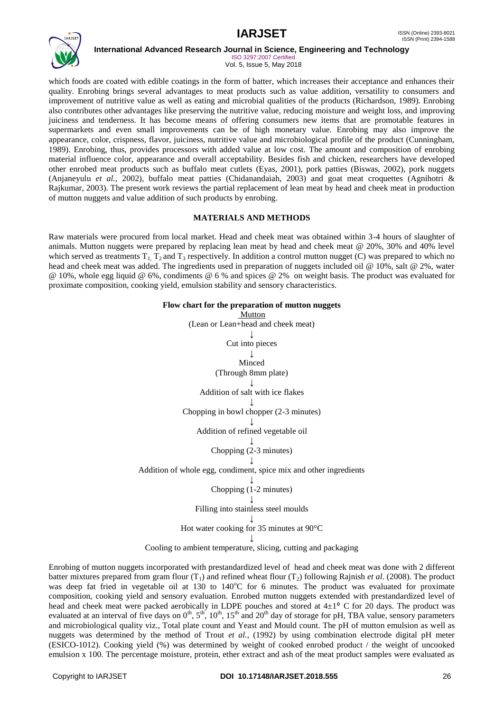

ISO 3297:2007 Certified Vol. 5, Issue 5, May 2018

which foods are coated with edible coatings in the form of batter, which increases their acceptance and enhances their quality. Enrobing brings several advantages to meat products such as value addition, versatility to consumers and improvement of nutritive value as well as eating and microbial qualities of the products (Richardson, 1989). Enrobing also contributes other advantages like preserving the nutritive value, reducing moisture and weight loss, and improving juiciness and tenderness. It has become means of offering consumers new items that are promotable features in supermarkets and even small improvements can be of high monetary value. Enrobing may also improve the appearance, color, crispness, flavor, juiciness, nutritive value and microbiological profile of the product (Cunningham, 1989). Enrobing, thus, provides processors with added value at low cost. The amount and composition of enrobing material influence color, appearance and overall acceptability. Besides fish and chicken, researchers have developed other enrobed meat products such as buffalo meat cutlets (Eyas, 2001), pork patties (Biswas, 2002), pork nuggets (Anjaneyulu *et al.*, 2002), buffalo meat patties (Chidanandaiah, 2003) and goat meat croquettes (Agnihotri & Rajkumar, 2003). The present work reviews the partial replacement of lean meat by head and cheek meat in production of mutton nuggets and value addition of such products by enrobing.

# **MATERIALS AND METHODS**

Raw materials were procured from local market. Head and cheek meat was obtained within 3-4 hours of slaughter of animals. Mutton nuggets were prepared by replacing lean meat by head and cheek meat @ 20%, 30% and 40% level which served as treatments  $T_1$ ,  $T_2$  and  $T_3$  respectively. In addition a control mutton nugget (C) was prepared to which no head and cheek meat was added. The ingredients used in preparation of nuggets included oil @ 10%, salt @ 2%, water @ 10%, whole egg liquid @ 6%, condiments @ 6 % and spices @ 2% on weight basis. The product was evaluated for proximate composition, cooking yield, emulsion stability and sensory characteristics.

| Flow chart for the preparation of mutton nuggets                  |  |  |  |  |
|-------------------------------------------------------------------|--|--|--|--|
| Mutton                                                            |  |  |  |  |
| (Lean or Lean+head and cheek meat)                                |  |  |  |  |
|                                                                   |  |  |  |  |
| Cut into pieces                                                   |  |  |  |  |
|                                                                   |  |  |  |  |
| Minced                                                            |  |  |  |  |
| (Through 8mm plate)                                               |  |  |  |  |
|                                                                   |  |  |  |  |
| Addition of salt with ice flakes                                  |  |  |  |  |
|                                                                   |  |  |  |  |
| Chopping in bowl chopper (2-3 minutes)                            |  |  |  |  |
|                                                                   |  |  |  |  |
| Addition of refined vegetable oil                                 |  |  |  |  |
|                                                                   |  |  |  |  |
| Chopping (2-3 minutes)                                            |  |  |  |  |
|                                                                   |  |  |  |  |
| Addition of whole egg, condiment, spice mix and other ingredients |  |  |  |  |
|                                                                   |  |  |  |  |
| Chopping (1-2 minutes)                                            |  |  |  |  |
|                                                                   |  |  |  |  |
| Filling into stainless steel moulds                               |  |  |  |  |
|                                                                   |  |  |  |  |
| Hot water cooking for 35 minutes at $90^{\circ}$ C                |  |  |  |  |
|                                                                   |  |  |  |  |
| Cooling to ambient temperature, slicing, cutting and packaging    |  |  |  |  |

Enrobing of mutton nuggets incorporated with prestandardized level of head and cheek meat was done with 2 different batter mixtures prepared from gram flour  $(T_1)$  and refined wheat flour  $(T_2)$  following Rajnish *et al.* (2008). The product was deep fat fried in vegetable oil at 130 to 140°C for 6 minutes. The product was evaluated for proximate composition, cooking yield and sensory evaluation. Enrobed mutton nuggets extended with prestandardized level of head and cheek meat were packed aerobically in LDPE pouches and stored at  $4\pm1^{\circ}$  C for 20 days. The product was evaluated at an interval of five days on  $0^{th}$ ,  $5^{th}$ ,  $10^{th}$ ,  $15^{th}$  and  $20^{th}$  day of storage for pH, TBA value, sensory parameters and microbiological quality viz., Total plate count and Yeast and Mould count. The pH of mutton emulsion as well as nuggets was determined by the method of Trout *et al.,* (1992) by using combination electrode digital pH meter (ESICO-1012). Cooking yield (%) was determined by weight of cooked enrobed product / the weight of uncooked emulsion x 100. The percentage moisture, protein, ether extract and ash of the meat product samples were evaluated as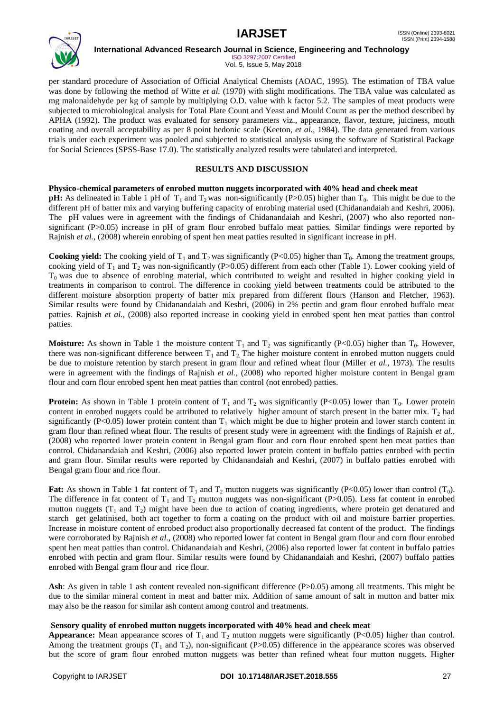

ISO 3297:2007 Certified Vol. 5, Issue 5, May 2018

per standard procedure of Association of Official Analytical Chemists (AOAC, 1995). The estimation of TBA value was done by following the method of Witte *et al.* (1970) with slight modifications. The TBA value was calculated as mg malonaldehyde per kg of sample by multiplying O.D. value with k factor 5.2. The samples of meat products were subjected to microbiological analysis for Total Plate Count and Yeast and Mould Count as per the method described by APHA (1992). The product was evaluated for sensory parameters viz., appearance, flavor, texture, juiciness, mouth coating and overall acceptability as per 8 point hedonic scale (Keeton, *et al.,* 1984). The data generated from various trials under each experiment was pooled and subjected to statistical analysis using the software of Statistical Package for Social Sciences (SPSS-Base 17.0). The statistically analyzed results were tabulated and interpreted.

# **RESULTS AND DISCUSSION**

## **Physico-chemical parameters of enrobed mutton nuggets incorporated with 40% head and cheek meat**

**pH:** As delineated in Table 1 pH of  $T_1$  and  $T_2$  was non-significantly (P>0.05) higher than  $T_0$ . This might be due to the different pH of batter mix and varying buffering capacity of enrobing material used (Chidanandaiah and Keshri, 2006). The pH values were in agreement with the findings of Chidanandaiah and Keshri, (2007) who also reported nonsignificant (P>0.05) increase in pH of gram flour enrobed buffalo meat patties. Similar findings were reported by Rajnish *et al.,* (2008) wherein enrobing of spent hen meat patties resulted in significant increase in pH.

**Cooking yield:** The cooking yield of  $T_1$  and  $T_2$  was significantly (P<0.05) higher than  $T_0$ . Among the treatment groups, cooking yield of  $T_1$  and  $T_2$  was non-significantly (P>0.05) different from each other (Table 1). Lower cooking yield of  $T<sub>0</sub>$  was due to absence of enrobing material, which contributed to weight and resulted in higher cooking yield in treatments in comparison to control. The difference in cooking yield between treatments could be attributed to the different moisture absorption property of batter mix prepared from different flours (Hanson and Fletcher, 1963). Similar results were found by Chidanandaiah and Keshri, (2006) in 2% pectin and gram flour enrobed buffalo meat patties. Rajnish *et al.,* (2008) also reported increase in cooking yield in enrobed spent hen meat patties than control patties.

**Moisture:** As shown in Table 1 the moisture content  $T_1$  and  $T_2$  was significantly (P<0.05) higher than  $T_0$ . However, there was non-significant difference between  $T_1$  and  $T_2$ . The higher moisture content in enrobed mutton nuggets could be due to moisture retention by starch present in gram flour and refined wheat flour (Miller *et al.,* 1973). The results were in agreement with the findings of Rajnish *et al.,* (2008) who reported higher moisture content in Bengal gram flour and corn flour enrobed spent hen meat patties than control (not enrobed) patties.

**Protein:** As shown in Table 1 protein content of  $T_1$  and  $T_2$  was significantly (P<0.05) lower than  $T_0$ . Lower protein content in enrobed nuggets could be attributed to relatively higher amount of starch present in the batter mix.  $T_2$  had significantly (P<0.05) lower protein content than  $T_1$  which might be due to higher protein and lower starch content in gram flour than refined wheat flour. The results of present study were in agreement with the findings of Rajnish *et al.,* (2008) who reported lower protein content in Bengal gram flour and corn flour enrobed spent hen meat patties than control. Chidanandaiah and Keshri, (2006) also reported lower protein content in buffalo patties enrobed with pectin and gram flour. Similar results were reported by Chidanandaiah and Keshri, (2007) in buffalo patties enrobed with Bengal gram flour and rice flour.

**Fat:** As shown in Table 1 fat content of  $T_1$  and  $T_2$  mutton nuggets was significantly (P<0.05) lower than control (T<sub>0</sub>). The difference in fat content of  $T_1$  and  $T_2$  mutton nuggets was non-significant (P>0.05). Less fat content in enrobed mutton nuggets  $(T_1$  and  $T_2)$  might have been due to action of coating ingredients, where protein get denatured and starch get gelatinised, both act together to form a coating on the product with oil and moisture barrier properties. Increase in moisture content of enrobed product also proportionally decreased fat content of the product. The findings were corroborated by Rajnish *et al.,* (2008) who reported lower fat content in Bengal gram flour and corn flour enrobed spent hen meat patties than control. Chidanandaiah and Keshri, (2006) also reported lower fat content in buffalo patties enrobed with pectin and gram flour. Similar results were found by Chidanandaiah and Keshri, (2007) buffalo patties enrobed with Bengal gram flour and rice flour.

Ash: As given in table 1 ash content revealed non-significant difference (P>0.05) among all treatments. This might be due to the similar mineral content in meat and batter mix. Addition of same amount of salt in mutton and batter mix may also be the reason for similar ash content among control and treatments.

## **Sensory quality of enrobed mutton nuggets incorporated with 40% head and cheek meat**

**Appearance:** Mean appearance scores of  $T_1$  and  $T_2$  mutton nuggets were significantly (P<0.05) higher than control. Among the treatment groups  $(T_1 \text{ and } T_2)$ , non-significant (P>0.05) difference in the appearance scores was observed but the score of gram flour enrobed mutton nuggets was better than refined wheat four mutton nuggets. Higher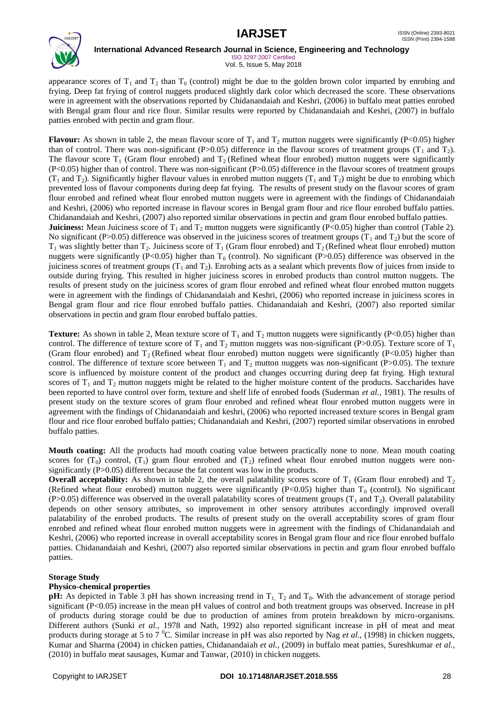

**International Advanced Research Journal in Science, Engineering and Technology** ISO 3297:2007 Certified

Vol. 5, Issue 5, May 2018

appearance scores of  $T_1$  and  $T_2$  than  $T_0$  (control) might be due to the golden brown color imparted by enrobing and frying. Deep fat frying of control nuggets produced slightly dark color which decreased the score. These observations were in agreement with the observations reported by Chidanandaiah and Keshri, (2006) in buffalo meat patties enrobed with Bengal gram flour and rice flour. Similar results were reported by Chidanandaiah and Keshri, (2007) in buffalo patties enrobed with pectin and gram flour.

**Flavour:** As shown in table 2, the mean flavour score of  $T_1$  and  $T_2$  mutton nuggets were significantly (P<0.05) higher than of control. There was non-significant (P>0.05) difference in the flavour scores of treatment groups ( $T_1$  and  $T_2$ ). The flavour score  $T_1$  (Gram flour enrobed) and  $T_2$  (Refined wheat flour enrobed) mutton nuggets were significantly (P<0.05) higher than of control. There was non-significant (P>0.05) difference in the flavour scores of treatment groups  $(T_1$  and  $T_2$ ). Significantly higher flavour values in enrobed mutton nuggets  $(T_1$  and  $T_2)$  might be due to enrobing which prevented loss of flavour components during deep fat frying. The results of present study on the flavour scores of gram flour enrobed and refined wheat flour enrobed mutton nuggets were in agreement with the findings of Chidanandaiah and Keshri, (2006) who reported increase in flavour scores in Bengal gram flour and rice flour enrobed buffalo patties. Chidanandaiah and Keshri, (2007) also reported similar observations in pectin and gram flour enrobed buffalo patties. **Juiciness:** Mean Juiciness score of  $T_1$  and  $T_2$  mutton nuggets were significantly (P<0.05) higher than control (Table 2). No significant (P>0.05) difference was observed in the juiciness scores of treatment groups ( $T_1$  and  $T_2$ ) but the score of  $T_1$  was slightly better than  $T_2$ . Juiciness score of  $T_1$  (Gram flour enrobed) and  $T_2$  (Refined wheat flour enrobed) mutton nuggets were significantly (P<0.05) higher than  $T_0$  (control). No significant (P>0.05) difference was observed in the juiciness scores of treatment groups  $(T_1 \text{ and } T_2)$ . Enrobing acts as a sealant which prevents flow of juices from inside to outside during frying. This resulted in higher juiciness scores in enrobed products than control mutton nuggets. The results of present study on the juiciness scores of gram flour enrobed and refined wheat flour enrobed mutton nuggets were in agreement with the findings of Chidanandaiah and Keshri, (2006) who reported increase in juiciness scores in Bengal gram flour and rice flour enrobed buffalo patties. Chidanandaiah and Keshri, (2007) also reported similar observations in pectin and gram flour enrobed buffalo patties.

**Texture:** As shown in table 2, Mean texture score of  $T_1$  and  $T_2$  mutton nuggets were significantly (P<0.05) higher than control. The difference of texture score of  $T_1$  and  $T_2$  mutton nuggets was non-significant (P>0.05). Texture score of  $T_1$ (Gram flour enrobed) and  $T_2$  (Refined wheat flour enrobed) mutton nuggets were significantly (P<0.05) higher than control. The difference of texture score between  $T_1$  and  $T_2$  mutton nuggets was non-significant (P>0.05). The texture score is influenced by moisture content of the product and changes occurring during deep fat frying. High textural scores of  $T_1$  and  $T_2$  mutton nuggets might be related to the higher moisture content of the products. Saccharides have been reported to have control over form, texture and shelf life of enrobed foods (Suderman *et al.,* 1981). The results of present study on the texture scores of gram flour enrobed and refined wheat flour enrobed mutton nuggets were in agreement with the findings of Chidanandaiah and keshri, (2006) who reported increased texture scores in Bengal gram flour and rice flour enrobed buffalo patties; Chidanandaiah and Keshri, (2007) reported similar observations in enrobed buffalo patties.

**Mouth coating:** All the products had mouth coating value between practically none to none. Mean mouth coating scores for  $(T_0)$  control,  $(T_1)$  gram flour enrobed and  $(T_2)$  refined wheat flour enrobed mutton nuggets were nonsignificantly (P>0.05) different because the fat content was low in the products.

**Overall acceptability:** As shown in table 2, the overall palatability scores score of  $T_1$  (Gram flour enrobed) and  $T_2$ (Refined wheat flour enrobed) mutton nuggets were significantly (P<0.05) higher than  $T_0$  (control). No significant (P>0.05) difference was observed in the overall palatability scores of treatment groups ( $T_1$  and  $T_2$ ). Overall palatability depends on other sensory attributes, so improvement in other sensory attributes accordingly improved overall palatability of the enrobed products. The results of present study on the overall acceptability scores of gram flour enrobed and refined wheat flour enrobed mutton nuggets were in agreement with the findings of Chidanandaiah and Keshri, (2006) who reported increase in overall acceptability scores in Bengal gram flour and rice flour enrobed buffalo patties. Chidanandaiah and Keshri, (2007) also reported similar observations in pectin and gram flour enrobed buffalo patties.

## **Storage Study**

# **Physico-chemical properties**

**pH:** As depicted in Table 3 pH has shown increasing trend in  $T_1$ ,  $T_2$  and  $T_0$ . With the advancement of storage period significant (P<0.05) increase in the mean pH values of control and both treatment groups was observed. Increase in pH of products during storage could be due to production of amines from protein breakdown by micro-organisms. Different authors (Sunki *et al.,* 1978 and Nath, 1992) also reported significant increase in pH of meat and meat products during storage at 5 to 7 <sup>0</sup>C. Similar increase in pH was also reported by Nag *et al.*, (1998) in chicken nuggets, Kumar and Sharma (2004) in chicken patties, Chidanandaiah *et al.,* (2009) in buffalo meat patties, Sureshkumar *et al.,* (2010) in buffalo meat sausages, Kumar and Tanwar, (2010) in chicken nuggets.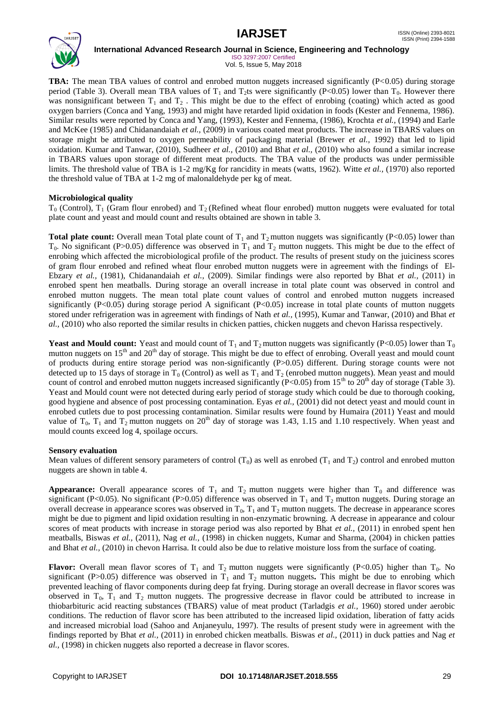

ISO 3297:2007 Certified Vol. 5, Issue 5, May 2018

**TBA:** The mean TBA values of control and enrobed mutton nuggets increased significantly (P<0.05) during storage period (Table 3). Overall mean TBA values of  $T_1$  and  $T_2$ ts were significantly (P<0.05) lower than  $T_0$ . However there was nonsignificant between  $T_1$  and  $T_2$ . This might be due to the effect of enrobing (coating) which acted as good oxygen barriers (Conca and Yang, 1993) and might have retarded lipid oxidation in foods (Kester and Fennema, 1986). Similar results were reported by Conca and Yang, (1993), Kester and Fennema, (1986), Krochta *et al.,* (1994) and Earle and McKee (1985) and Chidanandaiah *et al.,* (2009) in various coated meat products. The increase in TBARS values on storage might be attributed to oxygen permeability of packaging material (Brewer *et al.,* 1992) that led to lipid oxidation. Kumar and Tanwar, (2010), Sudheer *et al.,* (2010) and Bhat *et al.,* (2010) who also found a similar increase in TBARS values upon storage of different meat products. The TBA value of the products was under permissible limits. The threshold value of TBA is 1-2 mg/Kg for rancidity in meats (watts, 1962). Witte *et al.,* (1970) also reported the threshold value of TBA at 1-2 mg of malonaldehyde per kg of meat.

# **Microbiological quality**

 $T_0$  (Control),  $T_1$  (Gram flour enrobed) and  $T_2$  (Refined wheat flour enrobed) mutton nuggets were evaluated for total plate count and yeast and mould count and results obtained are shown in table 3.

**Total plate count:** Overall mean Total plate count of  $T_1$  and  $T_2$  mutton nuggets was significantly (P<0.05) lower than  $T_0$ . No significant (P>0.05) difference was observed in  $T_1$  and  $T_2$  mutton nuggets. This might be due to the effect of enrobing which affected the microbiological profile of the product. The results of present study on the juiciness scores of gram flour enrobed and refined wheat flour enrobed mutton nuggets were in agreement with the findings of El-Ebzary *et al.,* (1981), Chidanandaiah *et al.,* (2009). Similar findings were also reported by Bhat *et al.,* (2011) in enrobed spent hen meatballs. During storage an overall increase in total plate count was observed in control and enrobed mutton nuggets. The mean total plate count values of control and enrobed mutton nuggets increased significantly (P<0.05) during storage period A significant (P<0.05) increase in total plate counts of mutton nuggets stored under refrigeration was in agreement with findings of Nath *et al.,* (1995), Kumar and Tanwar, (2010) and Bhat *et al.,* (2010) who also reported the similar results in chicken patties, chicken nuggets and chevon Harissa respectively.

**Yeast and Mould count:** Yeast and mould count of  $T_1$  and  $T_2$  mutton nuggets was significantly (P<0.05) lower than  $T_0$ mutton nuggets on  $15<sup>th</sup>$  and  $20<sup>th</sup>$  day of storage. This might be due to effect of enrobing. Overall yeast and mould count of products during entire storage period was non-significantly (P>0.05) different. During storage counts were not detected up to 15 days of storage in  $T_0$  (Control) as well as  $T_1$  and  $T_2$  (enrobed mutton nuggets). Mean yeast and mould count of control and enrobed mutton nuggets increased significantly (P<0.05) from 15<sup>th</sup> to 20<sup>th</sup> day of storage (Table 3). Yeast and Mould count were not detected during early period of storage study which could be due to thorough cooking, good hygiene and absence of post processing contamination. Eyas *et al.,* (2001) did not detect yeast and mould count in enrobed cutlets due to post processing contamination. Similar results were found by Humaira (2011) Yeast and mould value of  $T_0$ ,  $T_1$  and  $T_2$  mutton nuggets on 20<sup>th</sup> day of storage was 1.43, 1.15 and 1.10 respectively. When yeast and mould counts exceed log 4, spoilage occurs.

## **Sensory evaluation**

Mean values of different sensory parameters of control  $(T_0)$  as well as enrobed  $(T_1$  and  $T_2)$  control and enrobed mutton nuggets are shown in table 4.

**Appearance:** Overall appearance scores of  $T_1$  and  $T_2$  mutton nuggets were higher than  $T_0$  and difference was significant (P<0.05). No significant (P>0.05) difference was observed in  $T_1$  and  $T_2$  mutton nuggets. During storage an overall decrease in appearance scores was observed in  $T_0$ ,  $T_1$  and  $T_2$  mutton nuggets. The decrease in appearance scores might be due to pigment and lipid oxidation resulting in non-enzymatic browning. A decrease in appearance and colour scores of meat products with increase in storage period was also reported by Bhat *et al.,* (2011) in enrobed spent hen meatballs, Biswas *et al.,* (2011), Nag *et al.,* (1998) in chicken nuggets, Kumar and Sharma, (2004) in chicken patties and Bhat *et al.,* (2010) in chevon Harrisa. It could also be due to relative moisture loss from the surface of coating.

**Flavor:** Overall mean flavor scores of  $T_1$  and  $T_2$  mutton nuggets were significantly (P<0.05) higher than  $T_0$ . No significant (P>0.05) difference was observed in  $T_1$  and  $T_2$  mutton nuggets. This might be due to enrobing which prevented leaching of flavor components during deep fat frying. During storage an overall decrease in flavor scores was observed in  $T_0$ ,  $T_1$  and  $T_2$  mutton nuggets. The progressive decrease in flavor could be attributed to increase in thiobarbituric acid reacting substances (TBARS) value of meat product (Tarladgis *et al.,* 1960) stored under aerobic conditions. The reduction of flavor score has been attributed to the increased lipid oxidation, liberation of fatty acids and increased microbial load (Sahoo and Anjaneyulu, 1997). The results of present study were in agreement with the findings reported by Bhat *et al.,* (2011) in enrobed chicken meatballs. Biswas *et al.,* (2011) in duck patties and Nag *et al.,* (1998) in chicken nuggets also reported a decrease in flavor scores.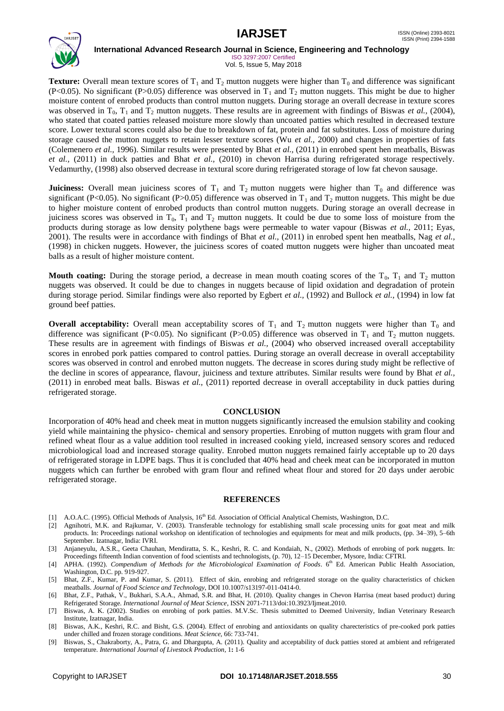

ISO 3297:2007 Certified Vol. 5, Issue 5, May 2018

**Texture:** Overall mean texture scores of  $T_1$  and  $T_2$  mutton nuggets were higher than  $T_0$  and difference was significant (P<0.05). No significant (P>0.05) difference was observed in  $T_1$  and  $T_2$  mutton nuggets. This might be due to higher moisture content of enrobed products than control mutton nuggets. During storage an overall decrease in texture scores was observed in  $T_0$ ,  $T_1$  and  $T_2$  mutton nuggets. These results are in agreement with findings of Biswas *et al.*, (2004), who stated that coated patties released moisture more slowly than uncoated patties which resulted in decreased texture score. Lower textural scores could also be due to breakdown of fat, protein and fat substitutes. Loss of moisture during storage caused the mutton nuggets to retain lesser texture scores (Wu *et al.,* 2000) and changes in properties of fats (Colemenero *et al.,* 1996). Similar results were presented by Bhat *et al.,* (2011) in enrobed spent hen meatballs, Biswas *et al.,* (2011) in duck patties and Bhat *et al.,* (2010) in chevon Harrisa during refrigerated storage respectively. Vedamurthy, (1998) also observed decrease in textural score during refrigerated storage of low fat chevon sausage.

**Juiciness:** Overall mean juiciness scores of  $T_1$  and  $T_2$  mutton nuggets were higher than  $T_0$  and difference was significant (P<0.05). No significant (P>0.05) difference was observed in  $T_1$  and  $T_2$  mutton nuggets. This might be due to higher moisture content of enrobed products than control mutton nuggets. During storage an overall decrease in juiciness scores was observed in  $T_0$ ,  $T_1$  and  $T_2$  mutton nuggets. It could be due to some loss of moisture from the products during storage as low density polythene bags were permeable to water vapour (Biswas *et al.,* 2011; Eyas*,* 2001). The results were in accordance with findings of Bhat *et al.,* (2011) in enrobed spent hen meatballs, Nag *et al.,* (1998) in chicken nuggets. However, the juiciness scores of coated mutton nuggets were higher than uncoated meat balls as a result of higher moisture content.

**Mouth coating:** During the storage period, a decrease in mean mouth coating scores of the  $T_0$ ,  $T_1$  and  $T_2$  mutton nuggets was observed. It could be due to changes in nuggets because of lipid oxidation and degradation of protein during storage period. Similar findings were also reported by Egbert *et al.,* (1992) and Bullock *et al.,* (1994) in low fat ground beef patties.

**Overall acceptability:** Overall mean acceptability scores of  $T_1$  and  $T_2$  mutton nuggets were higher than  $T_0$  and difference was significant (P<0.05). No significant (P>0.05) difference was observed in  $T_1$  and  $T_2$  mutton nuggets. These results are in agreement with findings of Biswas *et al.,* (2004) who observed increased overall acceptability scores in enrobed pork patties compared to control patties. During storage an overall decrease in overall acceptability scores was observed in control and enrobed mutton nuggets. The decrease in scores during study might be reflective of the decline in scores of appearance, flavour, juiciness and texture attributes. Similar results were found by Bhat *et al.,* (2011) in enrobed meat balls. Biswas *et al.,* (2011) reported decrease in overall acceptability in duck patties during refrigerated storage.

#### **CONCLUSION**

Incorporation of 40% head and cheek meat in mutton nuggets significantly increased the emulsion stability and cooking yield while maintaining the physico- chemical and sensory properties. Enrobing of mutton nuggets with gram flour and refined wheat flour as a value addition tool resulted in increased cooking yield, increased sensory scores and reduced microbiological load and increased storage quality. Enrobed mutton nuggets remained fairly acceptable up to 20 days of refrigerated storage in LDPE bags. Thus it is concluded that 40% head and cheek meat can be incorporated in mutton nuggets which can further be enrobed with gram flour and refined wheat flour and stored for 20 days under aerobic refrigerated storage.

#### **REFERENCES**

- [1] A.O.A.C. (1995). Official Methods of Analysis, 16<sup>th</sup> Ed. Association of Official Analytical Chemists, Washington, D.C.
- [2] Agnihotri, M.K. and Rajkumar, V. (2003). Transferable technology for establishing small scale processing units for goat meat and milk products. In: Proceedings national workshop on identification of technologies and equipments for meat and milk products, (pp. 34–39), 5–6th September. Izatnagar, India: IVRI.
- [3] Anjaneyulu, A.S.R., Geeta Chauhan, Mendiratta, S. K., Keshri, R. C. and Kondaiah, N., (2002). Methods of enrobing of pork nuggets. In: Proceedings fifteenth Indian convention of food scientists and technologists, (p. 70), 12–15 December, Mysore, India: CFTRI.
- [4] APHA. (1992). *Compendium of Methods for the Microbiological Examination of Foods*. 6<sup>th</sup> Ed. American Public Health Association, Washington, D.C. pp. 919-927.
- [5] Bhat, Z.F., Kumar, P. and Kumar, S. (2011). Effect of skin, enrobing and refrigerated storage on the quality characteristics of chicken meatballs. *Journal of Food Science and Technology*, DOI 10.1007/s13197-011-0414-0.
- [6] Bhat, Z.F., Pathak, V., Bukhari, S.A.A., Ahmad, S.R. and Bhat, H. (2010). Quality changes in Chevon Harrisa (meat based product) during Refrigerated Storage. *International Journal of Meat Science*, ISSN 2071-7113/doi:10.3923/Ijmeat.2010.
- [7] Biswas, A. K. (2002). Studies on enrobing of pork patties. M.V.Sc. Thesis submitted to Deemed University, Indian Veterinary Research Institute, Izatnagar, India.
- [8] Biswas, A.K., Keshri, R.C. and Bisht, G.S. (2004). Effect of enrobing and antioxidants on quality charecteristics of pre-cooked pork patties under chilled and frozen storage conditions. *Meat Science,* 66: 733-741.
- [9] Biswas, S., Chakraborty, A., Patra, G. and Dhargupta, A. (2011). Quality and acceptability of duck patties stored at ambient and refrigerated temperature. *International Journal of Livestock Production*, 1**:** 1-6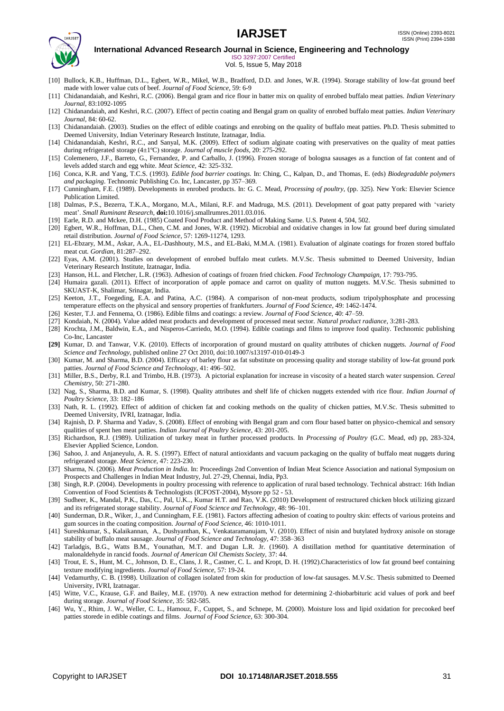

ISO 3297:2007 Certified Vol. 5, Issue 5, May 2018

- [10] Bullock, K.B., Huffman, D.L., Egbert, W.R., Mikel, W.B., Bradford, D.D. and Jones, W.R. (1994). Storage stability of low-fat ground beef made with lower value cuts of beef. *Journal of Food Science*, 59: 6-9
- [11] Chidanandaiah, and Keshri, R.C. (2006). Bengal gram and rice flour in batter mix on quality of enrobed buffalo meat patties. *Indian Veterinary Journal,* 83:1092-1095
- [12] Chidanandaiah, and Keshri, R.C. (2007). Effect of pectin coating and Bengal gram on quality of enrobed buffalo meat patties. *Indian Veterinary Journal,* 84: 60-62.
- [13] Chidanandaiah. (2003). Studies on the effect of edible coatings and enrobing on the quality of buffalo meat patties. Ph.D. Thesis submitted to Deemed University, Indian Veterinary Research Institute, Izatnagar, India.
- [14] Chidanandaiah, Keshri, R.C., and Sanyal, M.K. (2009). Effect of sodium alginate coating with preservatives on the quality of meat patties during refrigerated storage (4±1ºC) storage. *Journal of muscle foods,* 20: 275-292.
- [15] Colemenero, J.F., Barreto, G., Fernandez, P. and Carballo, J. (1996). Frozen storage of bologna sausages as a function of fat content and of levels added starch and egg white. *Meat Science,* 42: 325-332.
- [16] Conca, K.R. and Yang, T.C.S. (1993). *Edible food barrier coatings.* In: Ching, C., Kalpan, D., and Thomas, E. (eds) *Biodegradable polymers and packaging*. Technomic Publishing Co. Inc, Lancaster, pp 357–369.
- [17] Cunningham, F.E. (1989). Developments in enrobed products. In: G. C. Mead, *Processing of poultry,* (pp. 325). New York: Elsevier Science Publication Limited.
- [18] Dalmas, P.S., Bezerra, T.K.A., Morgano, M.A., Milani, R.F. and Madruga, M.S. (2011). Development of goat patty prepared with "variety meat". *Small Ruminant Research,* **doi:**10.1016/j.smallrumres.2011.03.016.
- [19] Earle, R.D. and Mckee, D.H. (1985) Coated Food Product and Method of Making Same. U.S. Patent 4, 504, 502.
- [20] Egbert, W.R., Hoffman, D.L., Chen, C.M. and Jones, W.R. (1992). Microbial and oxidative changes in low fat ground beef during simulated retail distribution. *Journal of Food Science*, 57: 1269-11274, 1293.
- [21] EL-Ebzary, M.M., Askar, A.A., EL-Dashhouty, M.S., and EL-Baki, M.M.A. (1981). Evaluation of alginate coatings for frozen stored buffalo meat cut. *Gordian,* 81:287–292.
- [22] Eyas, A.M. (2001). Studies on development of enrobed buffalo meat cutlets. M.V.Sc. Thesis submitted to Deemed University, Indian Veterinary Research Institute, Izatnagar, India.
- [23] Hanson, H.L. and Fletcher, L.R. (1963). Adhesion of coatings of frozen fried chicken. *Food Technology Champaign,* 17: 793-795.
- [24] Humaira gazali. (2011). Effect of incorporation of apple pomace and carrot on quality of mutton nuggets. M.V.Sc. Thesis submitted to SKUAST-K, Shalimar, Srinagar, India.
- [25] Keeton, J.T., Foegeding, E.A. and Patina, A.C. (1984). A comparison of non-meat products, sodium tripolyphosphate and processing temperature effects on the physical and sensory properties of frankfurters. *Journal of Food Science*, 49: 1462-1474.
- [26] Kester, T.J. and Fennema, O. (1986). Edible films and coatings: a review. *Journal of Food Science,* 40: 47–59.
- [27] Kondaiah, N. (2004). Value added meat products and development of processed meat sector. *Natural product radiance,* 3:281-283.
- [28] Krochta, J.M., Baldwin, E.A., and Nisperos-Carriedo, M.O. (1994). Edible coatings and films to improve food quality. Technomic publishing Co-Inc, Lancaster
- **[29]** Kumar, D. and Tanwar, V.K. (2010). Effects of incorporation of ground mustard on quality attributes of chicken nuggets. *Journal of Food Science and Technology,* published online 27 Oct 2010, doi:10.1007/s13197-010-0149-3
- [30] Kumar, M. and Sharma, B.D. (2004). Efficacy of barley flour as fat substitute on processing quality and storage stability of low-fat ground pork patties. *Journal of Food Science and Technology*, 41: 496–502.
- [31] Miller, B.S., Derby, R.I. and Trimbo, H.B. (1973). A pictorial explanation for increase in viscosity of a heated starch water suspension. *Cereal Chemistry,* 50: 271-280.
- [32] Nag, S., Sharma, B.D. and Kumar, S. (1998). Quality attributes and shelf life of chicken nuggets extended with rice flour. *Indian Journal of Poultry Science,* 33: 182–186
- [33] Nath, R. L. (1992). Effect of addition of chicken fat and cooking methods on the quality of chicken patties, M.V.Sc. Thesis submitted to Deemed University, IVRI, Izatnagar, India.
- [34] Rajnish, D. P. Sharma and Yadav, S. (2008). Effect of enrobing with Bengal gram and corn flour based batter on physico-chemical and sensory qualities of spent hen meat patties. *Indian Journal of Poultry Science,* 43: 201-205.
- [35] Richardson, R.J. (1989). Utilization of turkey meat in further processed products. In *Processing of Poultry* (G.C. Mead, ed) pp, 283-324, Elsevier Applied Science, London.
- [36] Sahoo, J. and Anjaneyulu, A. R. S. (1997). Effect of natural antioxidants and vacuum packaging on the quality of buffalo meat nuggets during refrigerated storage. *Meat Science,* 47: 223-230.
- [37] Sharma, N. (2006). *Meat Production in India*. In: Proceedings 2nd Convention of Indian Meat Science Association and national Symposium on Prospects and Challenges in Indian Meat Industry, Jul. 27-29, Chennai, India, Pp3.
- [38] Singh, R.P. (2004). Developments in poultry processing with reference to application of rural based technology. Technical abstract: 16th Indian Convention of Food Scientists & Technologists (ICFOST-2004), Mysore pp 52 - 53.
- [39] Sudheer, K., Mandal, P.K., Das, C., Pal, U.K.., Kumar H.T. and Rao, V.K. (2010) Development of restructured chicken block utilizing gizzard and its refrigerated storage stability. *Journal of Food Science and Technology,* 48: 96–101.
- [40] Sunderman, D.R., Wiker, J., and Cunningham, F.E. (1981). Factors affecting adhesion of coating to poultry skin: effects of various proteins and gum sources in the coating composition. *Journal of Food Science,* 46: 1010-1011.
- [41] Sureshkumar, S., Kalaikannan, A., Dushyanthan, K., Venkataramanujam, V. (2010). Effect of nisin and butylated hydroxy anisole on storage stability of buffalo meat sausage. *Journal of Food Science and Technology,* 47: 358–363
- [42] Tarladgis, B.G., Watts B.M., Younathan, M.T. and Dugan L.R. Jr. (1960). A distillation method for quantitative determination of malonaldehyde in rancid foods. *Journal of American Oil Chemists Society,* 37: 44.
- [43] Trout, E. S., Hunt, M. C., Johnson, D. E., Clans, J. R., Castner, C. L. and Kropt, D. H. (1992).Characteristics of low fat ground beef containing texture modifying ingredients. *Journal of Food Science,* 57: 19-24.
- [44] Vedamurthy, C. B. (1998). Utilization of collagen isolated from skin for production of low-fat sausages. M.V.Sc. Thesis submitted to Deemed University, IVRI, Izatnagar.
- [45] Witte, V.C., Krause, G.F. and Bailey, M.E. (1970). A new extraction method for determining 2-thiobarbituric acid values of pork and beef during storage. *Journal of Food Science*, 35: 582-585.
- [46] Wu, Y., Rhim, J. W., Weller, C. L., Hamouz, F., Cuppet, S., and Schnepe, M. (2000). Moisture loss and lipid oxidation for precooked beef patties storede in edible coatings and films. *Journal of Food Science,* 63: 300-304.